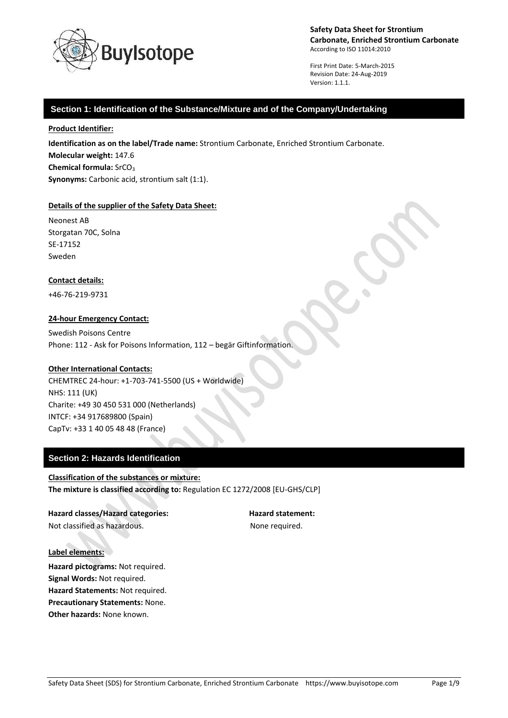

First Print Date: 5-March-2015 Revision Date: 24-Aug-2019 Version: 1.1.1.

# **Section 1: Identification of the Substance/Mixture and of the Company/Undertaking**

**Product Identifier:**

**Identification as on the label/Trade name:** Strontium Carbonate, Enriched Strontium Carbonate. **Molecular weight:** 147.6 **Chemical formula: SrCO<sub>3</sub> Synonyms:** Carbonic acid, strontium salt (1:1).

# **Details of the supplier of the Safety Data Sheet:**

Neonest AB Storgatan 70C, Solna SE-17152 Sweden

# **Contact details:**

+46-76-219-9731

# **24-hour Emergency Contact:**

Swedish Poisons Centre Phone: 112 - Ask for Poisons Information, 112 – begär Giftinformation.

# **Other International Contacts:**

CHEMTREC 24-hour: +1-703-741-5500 (US + Worldwide) NHS: 111 (UK) Charite: +49 30 450 531 000 (Netherlands) INTCF: +34 917689800 (Spain) CapTv: +33 1 40 05 48 48 (France)

# **Section 2: Hazards Identification**

**Classification of the substances or mixture: The mixture is classified according to:** Regulation EC 1272/2008 [EU-GHS/CLP]

**Hazard classes/Hazard categories: Hazard statement:** Not classified as hazardous. The state of the None required.

# **Label elements:**

**Hazard pictograms:** Not required. **Signal Words:** Not required. **Hazard Statements:** Not required. **Precautionary Statements:** None. **Other hazards:** None known.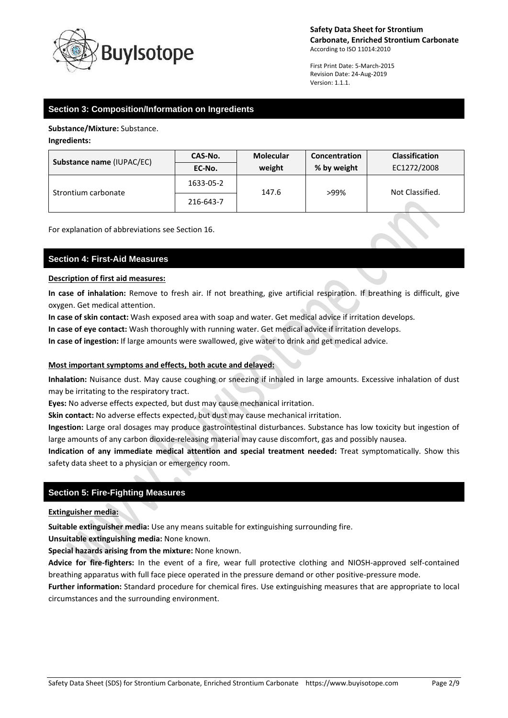

First Print Date: 5-March-2015 Revision Date: 24-Aug-2019 Version: 1.1.1.

# **Section 3: Composition/Information on Ingredients**

**Substance/Mixture:** Substance.

**Ingredients:**

| Substance name (IUPAC/EC) | CAS-No.   | <b>Molecular</b> | Concentration | <b>Classification</b> |
|---------------------------|-----------|------------------|---------------|-----------------------|
|                           | EC-No.    | weight           | % by weight   | EC1272/2008           |
| Strontium carbonate       | 1633-05-2 | 147.6            | >99%          | Not Classified.       |
|                           | 216-643-7 |                  |               |                       |

For explanation of abbreviations see Section 16.

# **Section 4: First-Aid Measures**

#### **Description of first aid measures:**

**In case of inhalation:** Remove to fresh air. If not breathing, give artificial respiration. If breathing is difficult, give oxygen. Get medical attention.

**In case of skin contact:** Wash exposed area with soap and water. Get medical advice if irritation develops.

**In case of eye contact:** Wash thoroughly with running water. Get medical advice if irritation develops.

**In case of ingestion:** If large amounts were swallowed, give water to drink and get medical advice.

# **Most important symptoms and effects, both acute and delayed:**

**Inhalation:** Nuisance dust. May cause coughing or sneezing if inhaled in large amounts. Excessive inhalation of dust may be irritating to the respiratory tract.

**Eyes:** No adverse effects expected, but dust may cause mechanical irritation.

**Skin contact:** No adverse effects expected, but dust may cause mechanical irritation.

**Ingestion:** Large oral dosages may produce gastrointestinal disturbances. Substance has low toxicity but ingestion of large amounts of any carbon dioxide-releasing material may cause discomfort, gas and possibly nausea.

**Indication of any immediate medical attention and special treatment needed:** Treat symptomatically. Show this safety data sheet to a physician or emergency room.

# **Section 5: Fire-Fighting Measures**

**Extinguisher media:**

**Suitable extinguisher media:** Use any means suitable for extinguishing surrounding fire.

**Unsuitable extinguishing media:** None known.

**Special hazards arising from the mixture:** None known.

**Advice for fire-fighters:** In the event of a fire, wear full protective clothing and NIOSH-approved self-contained breathing apparatus with full face piece operated in the pressure demand or other positive-pressure mode.

**Further information:** Standard procedure for chemical fires. Use extinguishing measures that are appropriate to local circumstances and the surrounding environment.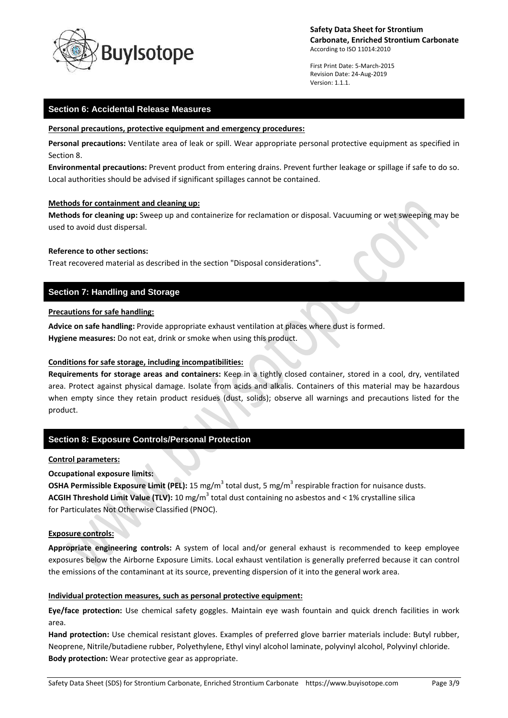

First Print Date: 5-March-2015 Revision Date: 24-Aug-2019 Version: 1.1.1.

# **Section 6: Accidental Release Measures**

#### **Personal precautions, protective equipment and emergency procedures:**

**Personal precautions:** Ventilate area of leak or spill. Wear appropriate personal protective equipment as specified in Section 8.

**Environmental precautions:** Prevent product from entering drains. Prevent further leakage or spillage if safe to do so. Local authorities should be advised if significant spillages cannot be contained.

#### **Methods for containment and cleaning up:**

**Methods for cleaning up:** Sweep up and containerize for reclamation or disposal. Vacuuming or wet sweeping may be used to avoid dust dispersal.

# **Reference to other sections:**

Treat recovered material as described in the section "Disposal considerations".

# **Section 7: Handling and Storage**

# **Precautions for safe handling:**

**Advice on safe handling:** Provide appropriate exhaust ventilation at places where dust is formed. **Hygiene measures:** Do not eat, drink or smoke when using this product.

# **Conditions for safe storage, including incompatibilities:**

**Requirements for storage areas and containers:** Keep in a tightly closed container, stored in a cool, dry, ventilated area. Protect against physical damage. Isolate from acids and alkalis. Containers of this material may be hazardous when empty since they retain product residues (dust, solids); observe all warnings and precautions listed for the product.

# **Section 8: Exposure Controls/Personal Protection**

# **Control parameters:**

**Occupational exposure limits:**

**OSHA Permissible Exposure Limit (PEL):** 15 mg/m<sup>3</sup> total dust, 5 mg/m<sup>3</sup> respirable fraction for nuisance dusts. **ACGIH Threshold Limit Value (TLV):** 10 mg/m<sup>3</sup> total dust containing no asbestos and < 1% crystalline silica for Particulates Not Otherwise Classified (PNOC).

# **Exposure controls:**

**Appropriate engineering controls:** A system of local and/or general exhaust is recommended to keep employee exposures below the Airborne Exposure Limits. Local exhaust ventilation is generally preferred because it can control the emissions of the contaminant at its source, preventing dispersion of it into the general work area.

# **Individual protection measures, such as personal protective equipment:**

**Eye/face protection:** Use chemical safety goggles. Maintain eye wash fountain and quick drench facilities in work area.

**Hand protection:** Use chemical resistant gloves. Examples of preferred glove barrier materials include: Butyl rubber, Neoprene, Nitrile/butadiene rubber, Polyethylene, Ethyl vinyl alcohol laminate, polyvinyl alcohol, Polyvinyl chloride. **Body protection:** Wear protective gear as appropriate.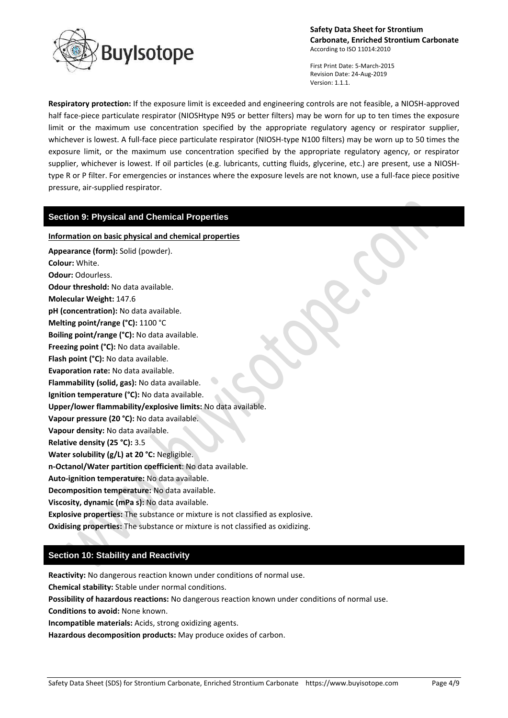

First Print Date: 5-March-2015 Revision Date: 24-Aug-2019 Version: 1.1.1.

**Respiratory protection:** If the exposure limit is exceeded and engineering controls are not feasible, a NIOSH-approved half face-piece particulate respirator (NIOSHtype N95 or better filters) may be worn for up to ten times the exposure limit or the maximum use concentration specified by the appropriate regulatory agency or respirator supplier, whichever is lowest. A full-face piece particulate respirator (NIOSH-type N100 filters) may be worn up to 50 times the exposure limit, or the maximum use concentration specified by the appropriate regulatory agency, or respirator supplier, whichever is lowest. If oil particles (e.g. lubricants, cutting fluids, glycerine, etc.) are present, use a NIOSHtype R or P filter. For emergencies or instances where the exposure levels are not known, use a full-face piece positive pressure, air-supplied respirator.

# **Section 9: Physical and Chemical Properties**

# **Information on basic physical and chemical properties**

**Appearance (form):** Solid (powder). **Colour:** White. **Odour:** Odourless. **Odour threshold:** No data available. **Molecular Weight:** 147.6 **pH (concentration):** No data available. **Melting point/range (°C):** 1100 °C **Boiling point/range (°C):** No data available. **Freezing point (°C):** No data available. **Flash point (°C):** No data available. **Evaporation rate:** No data available. **Flammability (solid, gas):** No data available. **Ignition temperature (°C):** No data available. **Upper/lower flammability/explosive limits:** No data available. **Vapour pressure (20 °C):** No data available. **Vapour density:** No data available. **Relative density (25 °C):** 3.5 **Water solubility (g/L) at 20 °C:** Negligible. **n-Octanol/Water partition coefficient**: No data available. **Auto-ignition temperature:** No data available. **Decomposition temperature:** No data available. **Viscosity, dynamic (mPa s):** No data available. **Explosive properties:** The substance or mixture is not classified as explosive. **Oxidising properties:** The substance or mixture is not classified as oxidizing.

# **Section 10: Stability and Reactivity**

**Reactivity:** No dangerous reaction known under conditions of normal use.

**Chemical stability:** Stable under normal conditions.

**Possibility of hazardous reactions:** No dangerous reaction known under conditions of normal use.

**Conditions to avoid:** None known.

**Incompatible materials:** Acids, strong oxidizing agents.

**Hazardous decomposition products:** May produce oxides of carbon.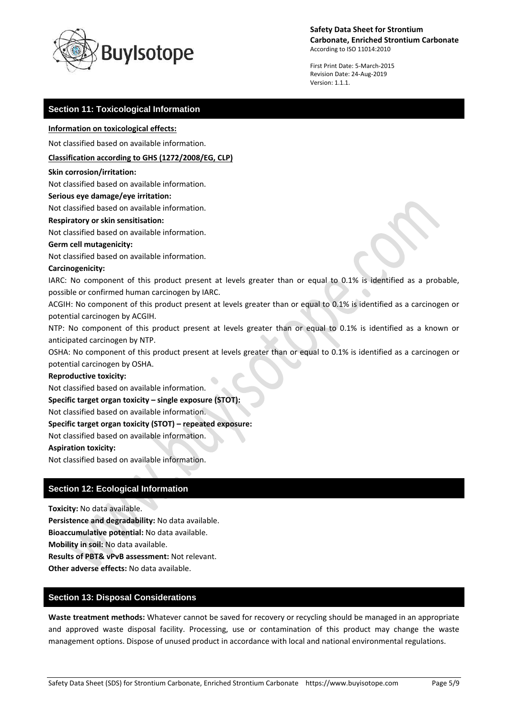

First Print Date: 5-March-2015 Revision Date: 24-Aug-2019 Version: 1.1.1.

# **Section 11: Toxicological Information**

#### **Information on toxicological effects:**

Not classified based on available information.

#### **Classification according to GHS (1272/2008/EG, CLP)**

#### **Skin corrosion/irritation:**

Not classified based on available information.

#### **Serious eye damage/eye irritation:**

Not classified based on available information.

#### **Respiratory or skin sensitisation:**

Not classified based on available information.

#### **Germ cell mutagenicity:**

Not classified based on available information.

#### **Carcinogenicity:**

IARC: No component of this product present at levels greater than or equal to 0.1% is identified as a probable, possible or confirmed human carcinogen by IARC.

ACGIH: No component of this product present at levels greater than or equal to 0.1% is identified as a carcinogen or potential carcinogen by ACGIH.

NTP: No component of this product present at levels greater than or equal to 0.1% is identified as a known or anticipated carcinogen by NTP.

OSHA: No component of this product present at levels greater than or equal to 0.1% is identified as a carcinogen or potential carcinogen by OSHA.

#### **Reproductive toxicity:**

Not classified based on available information.

# **Specific target organ toxicity – single exposure (STOT):**

Not classified based on available information.

# **Specific target organ toxicity (STOT) – repeated exposure:**

Not classified based on available information.

# **Aspiration toxicity:**

Not classified based on available information.

# **Section 12: Ecological Information**

**Toxicity:** No data available.

**Persistence and degradability:** No data available.

**Bioaccumulative potential:** No data available.

**Mobility in soil:** No data available.

**Results of PBT& vPvB assessment:** Not relevant.

**Other adverse effects:** No data available.

# **Section 13: Disposal Considerations**

**Waste treatment methods:** Whatever cannot be saved for recovery or recycling should be managed in an appropriate and approved waste disposal facility. Processing, use or contamination of this product may change the waste management options. Dispose of unused product in accordance with local and national environmental regulations.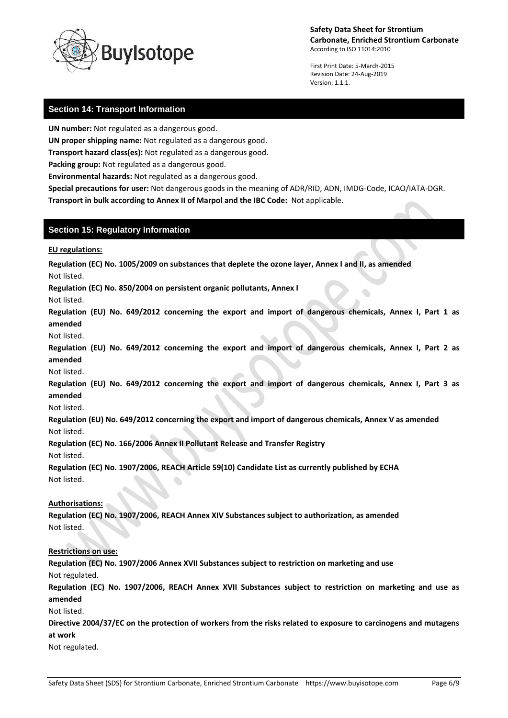

First Print Date: 5-March-2015 Revision Date: 24-Aug-2019 Version: 1.1.1.

# **Section 14: Transport Information**

**UN number:** Not regulated as a dangerous good.

**UN proper shipping name:** Not regulated as a dangerous good.

**Transport hazard class(es):** Not regulated as a dangerous good.

**Packing group:** Not regulated as a dangerous good.

**Environmental hazards:** Not regulated as a dangerous good.

**Special precautions for user:** Not dangerous goods in the meaning of ADR/RID, ADN, IMDG-Code, ICAO/IATA-DGR. **Transport in bulk according to Annex II of Marpol and the IBC Code:** Not applicable.

# **Section 15: Regulatory Information**

**EU regulations:**

**Regulation (EC) No. 1005/2009 on substances that deplete the ozone layer, Annex I and II, as amended**

Not listed.

**Regulation (EC) No. 850/2004 on persistent organic pollutants, Annex I**

Not listed.

**Regulation (EU) No. 649/2012 concerning the export and import of dangerous chemicals, Annex I, Part 1 as amended**

Not listed.

**Regulation (EU) No. 649/2012 concerning the export and import of dangerous chemicals, Annex I, Part 2 as amended**

Not listed.

**Regulation (EU) No. 649/2012 concerning the export and import of dangerous chemicals, Annex I, Part 3 as amended**

Not listed.

**Regulation (EU) No. 649/2012 concerning the export and import of dangerous chemicals, Annex V as amended** Not listed.

**Regulation (EC) No. 166/2006 Annex II Pollutant Release and Transfer Registry**

Not listed.

**Regulation (EC) No. 1907/2006, REACH Article 59(10) Candidate List as currently published by ECHA** Not listed.

# **Authorisations:**

**Regulation (EC) No. 1907/2006, REACH Annex XIV Substances subject to authorization, as amended** Not listed.

# **Restrictions on use:**

**Regulation (EC) No. 1907/2006 Annex XVII Substances subject to restriction on marketing and use** Not regulated.

**Regulation (EC) No. 1907/2006, REACH Annex XVII Substances subject to restriction on marketing and use as amended**

Not listed.

**Directive 2004/37/EC on the protection of workers from the risks related to exposure to carcinogens and mutagens at work**

Not regulated.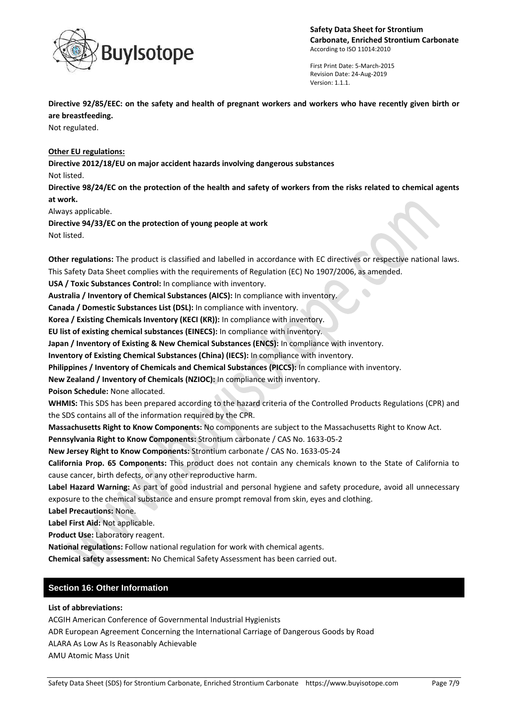

First Print Date: 5-March-2015 Revision Date: 24-Aug-2019 Version: 1.1.1.

 $\bullet$ 

**Directive 92/85/EEC: on the safety and health of pregnant workers and workers who have recently given birth or are breastfeeding.**

Not regulated.

**Other EU regulations:**

**Directive 2012/18/EU on major accident hazards involving dangerous substances**

Not listed.

**Directive 98/24/EC on the protection of the health and safety of workers from the risks related to chemical agents at work.**

Always applicable.

**Directive 94/33/EC on the protection of young people at work** Not listed.

**Other regulations:** The product is classified and labelled in accordance with EC directives or respective national laws. This Safety Data Sheet complies with the requirements of Regulation (EC) No 1907/2006, as amended.

**USA / Toxic Substances Control:** In compliance with inventory.

**Australia / Inventory of Chemical Substances (AICS):** In compliance with inventory.

**Canada / Domestic Substances List (DSL):** In compliance with inventory.

**Korea / Existing Chemicals Inventory (KECI (KR)):** In compliance with inventory.

**EU list of existing chemical substances (EINECS):** In compliance with inventory.

**Japan / Inventory of Existing & New Chemical Substances (ENCS):** In compliance with inventory.

**Inventory of Existing Chemical Substances (China) (IECS):** In compliance with inventory.

**Philippines / Inventory of Chemicals and Chemical Substances (PICCS):** In compliance with inventory.

**New Zealand / Inventory of Chemicals (NZIOC):** In compliance with inventory.

**Poison Schedule:** None allocated.

**WHMIS:** This SDS has been prepared according to the hazard criteria of the Controlled Products Regulations (CPR) and the SDS contains all of the information required by the CPR.

**Massachusetts Right to Know Components:** No components are subject to the Massachusetts Right to Know Act.

**Pennsylvania Right to Know Components:** Strontium carbonate / CAS No. 1633-05-2

**New Jersey Right to Know Components:** Strontium carbonate / CAS No. 1633-05-24

**California Prop. 65 Components:** This product does not contain any chemicals known to the State of California to cause cancer, birth defects, or any other reproductive harm.

**Label Hazard Warning:** As part of good industrial and personal hygiene and safety procedure, avoid all unnecessary exposure to the chemical substance and ensure prompt removal from skin, eyes and clothing.

**Label Precautions:** None.

**Label First Aid:** Not applicable.

**Product Use:** Laboratory reagent.

**National regulations:** Follow national regulation for work with chemical agents.

**Chemical safety assessment:** No Chemical Safety Assessment has been carried out.

# **Section 16: Other Information**

# **List of abbreviations:**

ACGIH American Conference of Governmental Industrial Hygienists ADR European Agreement Concerning the International Carriage of Dangerous Goods by Road ALARA As Low As Is Reasonably Achievable AMU Atomic Mass Unit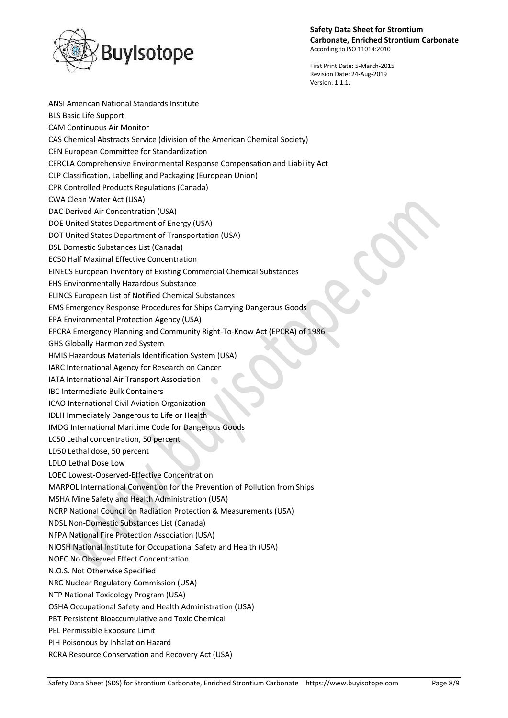



First Print Date: 5-March-2015 Revision Date: 24-Aug-2019 Version: 1.1.1.

ANSI American National Standards Institute BLS Basic Life Support CAM Continuous Air Monitor CAS Chemical Abstracts Service (division of the American Chemical Society) CEN European Committee for Standardization CERCLA Comprehensive Environmental Response Compensation and Liability Act CLP Classification, Labelling and Packaging (European Union) CPR Controlled Products Regulations (Canada) CWA Clean Water Act (USA) DAC Derived Air Concentration (USA) DOE United States Department of Energy (USA) DOT United States Department of Transportation (USA) DSL Domestic Substances List (Canada) EC50 Half Maximal Effective Concentration EINECS European Inventory of Existing Commercial Chemical Substances EHS Environmentally Hazardous Substance ELINCS European List of Notified Chemical Substances EMS Emergency Response Procedures for Ships Carrying Dangerous Goods EPA Environmental Protection Agency (USA) EPCRA Emergency Planning and Community Right-To-Know Act (EPCRA) of 1986 GHS Globally Harmonized System HMIS Hazardous Materials Identification System (USA) IARC International Agency for Research on Cancer IATA International Air Transport Association IBC Intermediate Bulk Containers ICAO International Civil Aviation Organization IDLH Immediately Dangerous to Life or Health IMDG International Maritime Code for Dangerous Goods LC50 Lethal concentration, 50 percent LD50 Lethal dose, 50 percent LDLO Lethal Dose Low LOEC Lowest-Observed-Effective Concentration MARPOL International Convention for the Prevention of Pollution from Ships MSHA Mine Safety and Health Administration (USA) NCRP National Council on Radiation Protection & Measurements (USA) NDSL Non-Domestic Substances List (Canada) NFPA National Fire Protection Association (USA) NIOSH National Institute for Occupational Safety and Health (USA) NOEC No Observed Effect Concentration N.O.S. Not Otherwise Specified NRC Nuclear Regulatory Commission (USA) NTP National Toxicology Program (USA) OSHA Occupational Safety and Health Administration (USA) PBT Persistent Bioaccumulative and Toxic Chemical PEL Permissible Exposure Limit PIH Poisonous by Inhalation Hazard RCRA Resource Conservation and Recovery Act (USA)